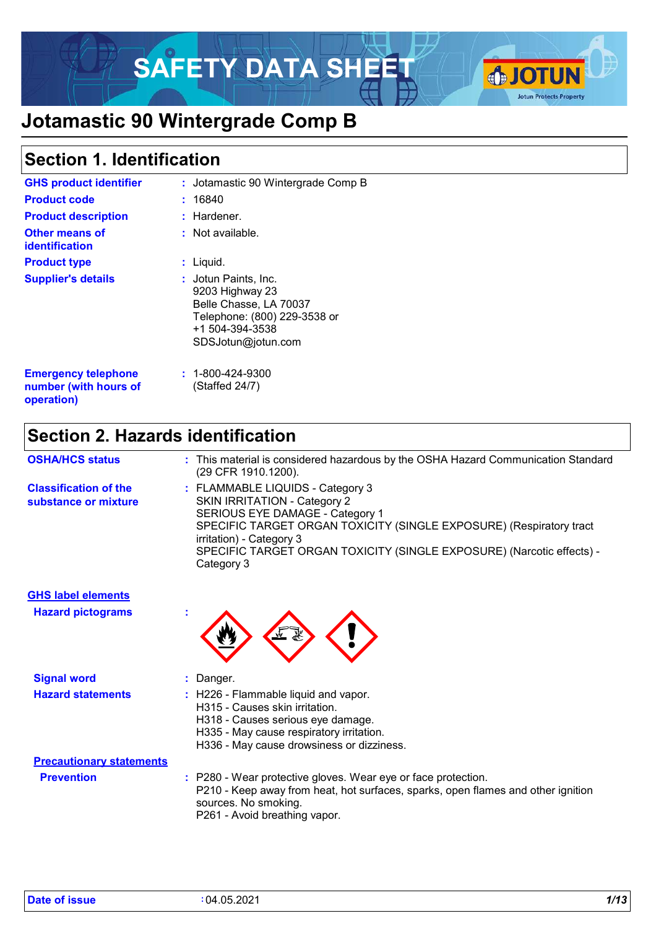# SAFETY DATA SHEET A JOTUN



# **Jotamastic 90 Wintergrade Comp B**

### **Section 1. Identification**

| <b>GHS product identifier</b><br><b>Product code</b><br><b>Product description</b> | : Jotamastic 90 Wintergrade Comp B<br>: 16840<br>: Hardener.                                                                               |
|------------------------------------------------------------------------------------|--------------------------------------------------------------------------------------------------------------------------------------------|
| <b>Other means of</b><br>identification                                            | $:$ Not available.                                                                                                                         |
| <b>Product type</b>                                                                | : Liquid.                                                                                                                                  |
| <b>Supplier's details</b>                                                          | : Jotun Paints, Inc.<br>9203 Highway 23<br>Belle Chasse, LA 70037<br>Telephone: (800) 229-3538 or<br>+1 504-394-3538<br>SDSJotun@jotun.com |
| <b>Emergency telephone</b><br>number (with hours of<br>operation)                  | $: 1 - 800 - 424 - 9300$<br>(Staffed 24/7)                                                                                                 |

### **Section 2. Hazards identification**

| <b>OSHA/HCS status</b>                               | : This material is considered hazardous by the OSHA Hazard Communication Standard<br>(29 CFR 1910.1200).                                                                                                                                                                                             |
|------------------------------------------------------|------------------------------------------------------------------------------------------------------------------------------------------------------------------------------------------------------------------------------------------------------------------------------------------------------|
| <b>Classification of the</b><br>substance or mixture | : FLAMMABLE LIQUIDS - Category 3<br><b>SKIN IRRITATION - Category 2</b><br>SERIOUS EYE DAMAGE - Category 1<br>SPECIFIC TARGET ORGAN TOXICITY (SINGLE EXPOSURE) (Respiratory tract<br>irritation) - Category 3<br>SPECIFIC TARGET ORGAN TOXICITY (SINGLE EXPOSURE) (Narcotic effects) -<br>Category 3 |

| <b>GHS label elements</b><br><b>Hazard pictograms</b> | t             |
|-------------------------------------------------------|---------------|
| <b>Signal word</b>                                    | : Danger.     |
| <b>Hazard statements</b>                              | : H226 - Flam |

| ਵ₹ |  |
|----|--|
|    |  |

| <b>PROVIDE</b>                  | Danyen.                                                                                                                                                                                                    |
|---------------------------------|------------------------------------------------------------------------------------------------------------------------------------------------------------------------------------------------------------|
| <b>Hazard statements</b>        | : H226 - Flammable liquid and vapor.<br>H315 - Causes skin irritation.<br>H318 - Causes serious eye damage.<br>H335 - May cause respiratory irritation.<br>H336 - May cause drowsiness or dizziness.       |
| <b>Precautionary statements</b> |                                                                                                                                                                                                            |
| <b>Prevention</b>               | : P280 - Wear protective gloves. Wear eye or face protection.<br>P210 - Keep away from heat, hot surfaces, sparks, open flames and other ignition<br>sources. No smoking.<br>P261 - Avoid breathing vapor. |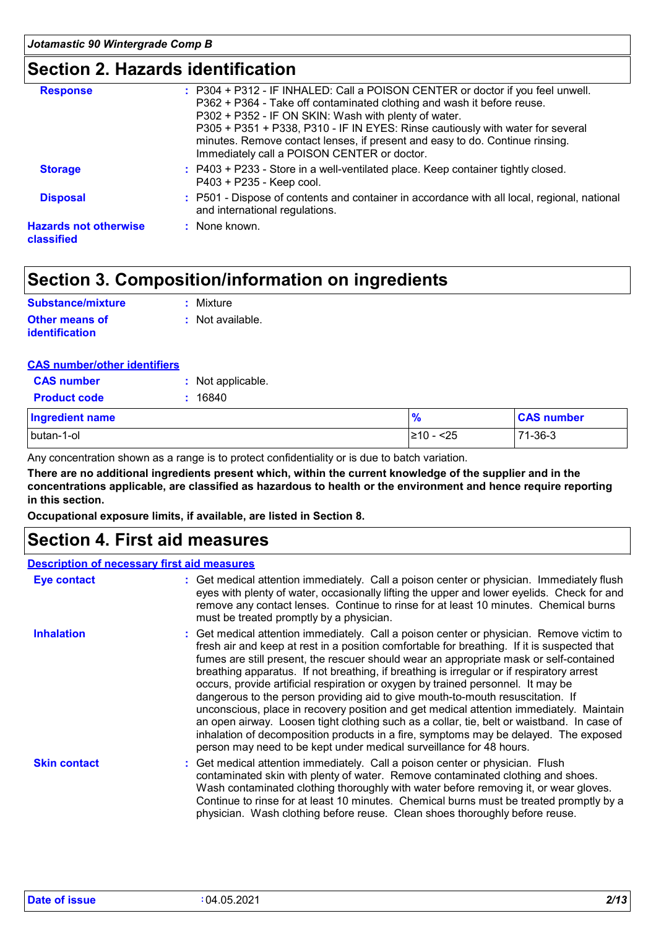### **Section 2. Hazards identification**

| : P304 + P312 - IF INHALED: Call a POISON CENTER or doctor if you feel unwell.<br>P362 + P364 - Take off contaminated clothing and wash it before reuse.<br>P302 + P352 - IF ON SKIN: Wash with plenty of water.<br>P305 + P351 + P338, P310 - IF IN EYES: Rinse cautiously with water for several<br>minutes. Remove contact lenses, if present and easy to do. Continue rinsing.<br>Immediately call a POISON CENTER or doctor. |
|-----------------------------------------------------------------------------------------------------------------------------------------------------------------------------------------------------------------------------------------------------------------------------------------------------------------------------------------------------------------------------------------------------------------------------------|
| : P403 + P233 - Store in a well-ventilated place. Keep container tightly closed.<br>P403 + P235 - Keep cool.                                                                                                                                                                                                                                                                                                                      |
| : P501 - Dispose of contents and container in accordance with all local, regional, national<br>and international regulations.                                                                                                                                                                                                                                                                                                     |
| : None known.                                                                                                                                                                                                                                                                                                                                                                                                                     |
|                                                                                                                                                                                                                                                                                                                                                                                                                                   |

### **Section 3. Composition/information on ingredients**

| Substance/mixture                       | : Mixture        |
|-----------------------------------------|------------------|
| Other means of<br><b>identification</b> | : Not available. |

| <b>CAS number/other identifiers</b> |
|-------------------------------------|
|-------------------------------------|

| <b>CAS number</b>      | : Not applicable. |               |                   |
|------------------------|-------------------|---------------|-------------------|
| <b>Product code</b>    | 16840             |               |                   |
| <b>Ingredient name</b> |                   | $\frac{9}{6}$ | <b>CAS number</b> |
| butan-1-ol             |                   | 210 - <25     | $71 - 36 - 3$     |

Any concentration shown as a range is to protect confidentiality or is due to batch variation.

**There are no additional ingredients present which, within the current knowledge of the supplier and in the concentrations applicable, are classified as hazardous to health or the environment and hence require reporting in this section.**

**Occupational exposure limits, if available, are listed in Section 8.**

### **Section 4. First aid measures**

#### **Description of necessary first aid measures**

| <b>Eye contact</b>  | : Get medical attention immediately. Call a poison center or physician. Immediately flush<br>eyes with plenty of water, occasionally lifting the upper and lower eyelids. Check for and<br>remove any contact lenses. Continue to rinse for at least 10 minutes. Chemical burns<br>must be treated promptly by a physician.                                                                                                                                                                                                                                                                                                                                                                                                                                                                                                                                                                                  |
|---------------------|--------------------------------------------------------------------------------------------------------------------------------------------------------------------------------------------------------------------------------------------------------------------------------------------------------------------------------------------------------------------------------------------------------------------------------------------------------------------------------------------------------------------------------------------------------------------------------------------------------------------------------------------------------------------------------------------------------------------------------------------------------------------------------------------------------------------------------------------------------------------------------------------------------------|
| <b>Inhalation</b>   | : Get medical attention immediately. Call a poison center or physician. Remove victim to<br>fresh air and keep at rest in a position comfortable for breathing. If it is suspected that<br>fumes are still present, the rescuer should wear an appropriate mask or self-contained<br>breathing apparatus. If not breathing, if breathing is irregular or if respiratory arrest<br>occurs, provide artificial respiration or oxygen by trained personnel. It may be<br>dangerous to the person providing aid to give mouth-to-mouth resuscitation. If<br>unconscious, place in recovery position and get medical attention immediately. Maintain<br>an open airway. Loosen tight clothing such as a collar, tie, belt or waistband. In case of<br>inhalation of decomposition products in a fire, symptoms may be delayed. The exposed<br>person may need to be kept under medical surveillance for 48 hours. |
| <b>Skin contact</b> | : Get medical attention immediately. Call a poison center or physician. Flush<br>contaminated skin with plenty of water. Remove contaminated clothing and shoes.<br>Wash contaminated clothing thoroughly with water before removing it, or wear gloves.<br>Continue to rinse for at least 10 minutes. Chemical burns must be treated promptly by a<br>physician. Wash clothing before reuse. Clean shoes thoroughly before reuse.                                                                                                                                                                                                                                                                                                                                                                                                                                                                           |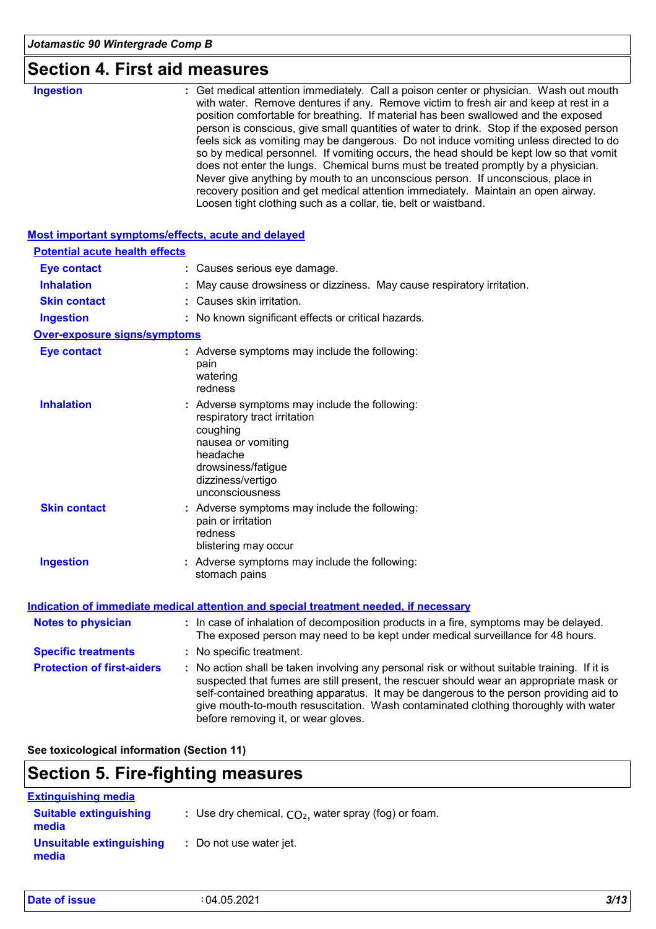## **Section 4. First aid measures**

| <b>Ingestion</b><br>: Get medical attention immediately. Call a poison center or physician. Wash out mouth<br>with water. Remove dentures if any. Remove victim to fresh air and keep at rest in a<br>position comfortable for breathing. If material has been swallowed and the exposed<br>person is conscious, give small quantities of water to drink. Stop if the exposed person<br>feels sick as vomiting may be dangerous. Do not induce vomiting unless directed to do<br>so by medical personnel. If vomiting occurs, the head should be kept low so that vomit<br>does not enter the lungs. Chemical burns must be treated promptly by a physician.<br>Never give anything by mouth to an unconscious person. If unconscious, place in<br>recovery position and get medical attention immediately. Maintain an open airway.<br>Loosen tight clothing such as a collar, tie, belt or waistband.<br>Most important symptoms/effects, acute and delayed<br><b>Potential acute health effects</b><br><b>Eye contact</b><br>: Causes serious eye damage.<br><b>Inhalation</b><br>May cause drowsiness or dizziness. May cause respiratory irritation.<br>Causes skin irritation.<br><b>Skin contact</b><br><b>Ingestion</b><br>: No known significant effects or critical hazards.<br><b>Over-exposure signs/symptoms</b><br><b>Eye contact</b><br>: Adverse symptoms may include the following:<br>pain<br>watering<br>redness<br><b>Inhalation</b><br>: Adverse symptoms may include the following:<br>respiratory tract irritation<br>coughing<br>nausea or vomiting<br>headache<br>drowsiness/fatigue<br>dizziness/vertigo<br>unconsciousness<br><b>Skin contact</b><br>Adverse symptoms may include the following:<br>pain or irritation<br>redness<br>blistering may occur<br><b>Ingestion</b><br>: Adverse symptoms may include the following:<br>stomach pains<br><b>Indication of immediate medical attention and special treatment needed, if necessary</b><br>: In case of inhalation of decomposition products in a fire, symptoms may be delayed.<br><b>Notes to physician</b><br>The exposed person may need to be kept under medical surveillance for 48 hours.<br><b>Specific treatments</b><br>: No specific treatment.<br><b>Protection of first-aiders</b><br>: No action shall be taken involving any personal risk or without suitable training. If it is<br>suspected that fumes are still present, the rescuer should wear an appropriate mask or<br>self-contained breathing apparatus. It may be dangerous to the person providing aid to<br>give mouth-to-mouth resuscitation. Wash contaminated clothing thoroughly with water<br>before removing it, or wear gloves. |  |  |
|------------------------------------------------------------------------------------------------------------------------------------------------------------------------------------------------------------------------------------------------------------------------------------------------------------------------------------------------------------------------------------------------------------------------------------------------------------------------------------------------------------------------------------------------------------------------------------------------------------------------------------------------------------------------------------------------------------------------------------------------------------------------------------------------------------------------------------------------------------------------------------------------------------------------------------------------------------------------------------------------------------------------------------------------------------------------------------------------------------------------------------------------------------------------------------------------------------------------------------------------------------------------------------------------------------------------------------------------------------------------------------------------------------------------------------------------------------------------------------------------------------------------------------------------------------------------------------------------------------------------------------------------------------------------------------------------------------------------------------------------------------------------------------------------------------------------------------------------------------------------------------------------------------------------------------------------------------------------------------------------------------------------------------------------------------------------------------------------------------------------------------------------------------------------------------------------------------------------------------------------------------------------------------------------------------------------------------------------------------------------------------------------------------------------------------------------------------------------------------------------------------------------------------------------------------------------------------------------------------------------------------------------------------------------------------------------------|--|--|
|                                                                                                                                                                                                                                                                                                                                                                                                                                                                                                                                                                                                                                                                                                                                                                                                                                                                                                                                                                                                                                                                                                                                                                                                                                                                                                                                                                                                                                                                                                                                                                                                                                                                                                                                                                                                                                                                                                                                                                                                                                                                                                                                                                                                                                                                                                                                                                                                                                                                                                                                                                                                                                                                                                      |  |  |
|                                                                                                                                                                                                                                                                                                                                                                                                                                                                                                                                                                                                                                                                                                                                                                                                                                                                                                                                                                                                                                                                                                                                                                                                                                                                                                                                                                                                                                                                                                                                                                                                                                                                                                                                                                                                                                                                                                                                                                                                                                                                                                                                                                                                                                                                                                                                                                                                                                                                                                                                                                                                                                                                                                      |  |  |
|                                                                                                                                                                                                                                                                                                                                                                                                                                                                                                                                                                                                                                                                                                                                                                                                                                                                                                                                                                                                                                                                                                                                                                                                                                                                                                                                                                                                                                                                                                                                                                                                                                                                                                                                                                                                                                                                                                                                                                                                                                                                                                                                                                                                                                                                                                                                                                                                                                                                                                                                                                                                                                                                                                      |  |  |
|                                                                                                                                                                                                                                                                                                                                                                                                                                                                                                                                                                                                                                                                                                                                                                                                                                                                                                                                                                                                                                                                                                                                                                                                                                                                                                                                                                                                                                                                                                                                                                                                                                                                                                                                                                                                                                                                                                                                                                                                                                                                                                                                                                                                                                                                                                                                                                                                                                                                                                                                                                                                                                                                                                      |  |  |
|                                                                                                                                                                                                                                                                                                                                                                                                                                                                                                                                                                                                                                                                                                                                                                                                                                                                                                                                                                                                                                                                                                                                                                                                                                                                                                                                                                                                                                                                                                                                                                                                                                                                                                                                                                                                                                                                                                                                                                                                                                                                                                                                                                                                                                                                                                                                                                                                                                                                                                                                                                                                                                                                                                      |  |  |
|                                                                                                                                                                                                                                                                                                                                                                                                                                                                                                                                                                                                                                                                                                                                                                                                                                                                                                                                                                                                                                                                                                                                                                                                                                                                                                                                                                                                                                                                                                                                                                                                                                                                                                                                                                                                                                                                                                                                                                                                                                                                                                                                                                                                                                                                                                                                                                                                                                                                                                                                                                                                                                                                                                      |  |  |
|                                                                                                                                                                                                                                                                                                                                                                                                                                                                                                                                                                                                                                                                                                                                                                                                                                                                                                                                                                                                                                                                                                                                                                                                                                                                                                                                                                                                                                                                                                                                                                                                                                                                                                                                                                                                                                                                                                                                                                                                                                                                                                                                                                                                                                                                                                                                                                                                                                                                                                                                                                                                                                                                                                      |  |  |
|                                                                                                                                                                                                                                                                                                                                                                                                                                                                                                                                                                                                                                                                                                                                                                                                                                                                                                                                                                                                                                                                                                                                                                                                                                                                                                                                                                                                                                                                                                                                                                                                                                                                                                                                                                                                                                                                                                                                                                                                                                                                                                                                                                                                                                                                                                                                                                                                                                                                                                                                                                                                                                                                                                      |  |  |
|                                                                                                                                                                                                                                                                                                                                                                                                                                                                                                                                                                                                                                                                                                                                                                                                                                                                                                                                                                                                                                                                                                                                                                                                                                                                                                                                                                                                                                                                                                                                                                                                                                                                                                                                                                                                                                                                                                                                                                                                                                                                                                                                                                                                                                                                                                                                                                                                                                                                                                                                                                                                                                                                                                      |  |  |
|                                                                                                                                                                                                                                                                                                                                                                                                                                                                                                                                                                                                                                                                                                                                                                                                                                                                                                                                                                                                                                                                                                                                                                                                                                                                                                                                                                                                                                                                                                                                                                                                                                                                                                                                                                                                                                                                                                                                                                                                                                                                                                                                                                                                                                                                                                                                                                                                                                                                                                                                                                                                                                                                                                      |  |  |
|                                                                                                                                                                                                                                                                                                                                                                                                                                                                                                                                                                                                                                                                                                                                                                                                                                                                                                                                                                                                                                                                                                                                                                                                                                                                                                                                                                                                                                                                                                                                                                                                                                                                                                                                                                                                                                                                                                                                                                                                                                                                                                                                                                                                                                                                                                                                                                                                                                                                                                                                                                                                                                                                                                      |  |  |
|                                                                                                                                                                                                                                                                                                                                                                                                                                                                                                                                                                                                                                                                                                                                                                                                                                                                                                                                                                                                                                                                                                                                                                                                                                                                                                                                                                                                                                                                                                                                                                                                                                                                                                                                                                                                                                                                                                                                                                                                                                                                                                                                                                                                                                                                                                                                                                                                                                                                                                                                                                                                                                                                                                      |  |  |
|                                                                                                                                                                                                                                                                                                                                                                                                                                                                                                                                                                                                                                                                                                                                                                                                                                                                                                                                                                                                                                                                                                                                                                                                                                                                                                                                                                                                                                                                                                                                                                                                                                                                                                                                                                                                                                                                                                                                                                                                                                                                                                                                                                                                                                                                                                                                                                                                                                                                                                                                                                                                                                                                                                      |  |  |
|                                                                                                                                                                                                                                                                                                                                                                                                                                                                                                                                                                                                                                                                                                                                                                                                                                                                                                                                                                                                                                                                                                                                                                                                                                                                                                                                                                                                                                                                                                                                                                                                                                                                                                                                                                                                                                                                                                                                                                                                                                                                                                                                                                                                                                                                                                                                                                                                                                                                                                                                                                                                                                                                                                      |  |  |
|                                                                                                                                                                                                                                                                                                                                                                                                                                                                                                                                                                                                                                                                                                                                                                                                                                                                                                                                                                                                                                                                                                                                                                                                                                                                                                                                                                                                                                                                                                                                                                                                                                                                                                                                                                                                                                                                                                                                                                                                                                                                                                                                                                                                                                                                                                                                                                                                                                                                                                                                                                                                                                                                                                      |  |  |
|                                                                                                                                                                                                                                                                                                                                                                                                                                                                                                                                                                                                                                                                                                                                                                                                                                                                                                                                                                                                                                                                                                                                                                                                                                                                                                                                                                                                                                                                                                                                                                                                                                                                                                                                                                                                                                                                                                                                                                                                                                                                                                                                                                                                                                                                                                                                                                                                                                                                                                                                                                                                                                                                                                      |  |  |

#### **See toxicological information (Section 11)**

### **Section 5. Fire-fighting measures**

| <b>Extinguishing media</b>             |                                                        |
|----------------------------------------|--------------------------------------------------------|
| <b>Suitable extinguishing</b><br>media | : Use dry chemical, $CO2$ , water spray (fog) or foam. |
| Unsuitable extinguishing<br>media      | : Do not use water jet.                                |

| Date of issue | 04.05.2021 | 3/13 |
|---------------|------------|------|
|               |            |      |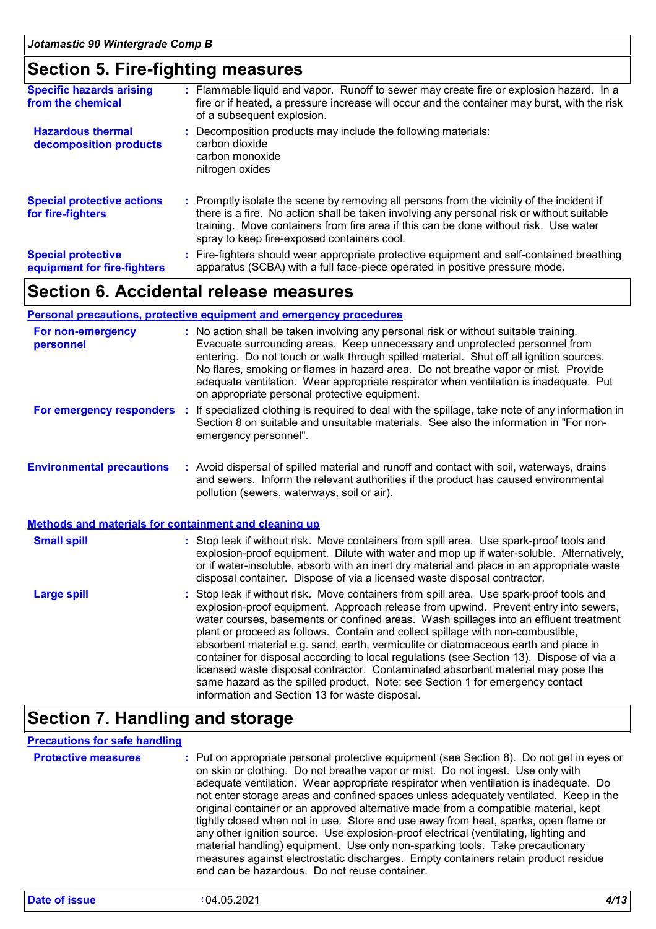### **Section 5. Fire-fighting measures**

| <b>Specific hazards arising</b><br>from the chemical     | : Flammable liquid and vapor. Runoff to sewer may create fire or explosion hazard. In a<br>fire or if heated, a pressure increase will occur and the container may burst, with the risk<br>of a subsequent explosion.                                                                                                         |
|----------------------------------------------------------|-------------------------------------------------------------------------------------------------------------------------------------------------------------------------------------------------------------------------------------------------------------------------------------------------------------------------------|
| <b>Hazardous thermal</b><br>decomposition products       | Decomposition products may include the following materials:<br>carbon dioxide<br>carbon monoxide<br>nitrogen oxides                                                                                                                                                                                                           |
| <b>Special protective actions</b><br>for fire-fighters   | : Promptly isolate the scene by removing all persons from the vicinity of the incident if<br>there is a fire. No action shall be taken involving any personal risk or without suitable<br>training. Move containers from fire area if this can be done without risk. Use water<br>spray to keep fire-exposed containers cool. |
| <b>Special protective</b><br>equipment for fire-fighters | : Fire-fighters should wear appropriate protective equipment and self-contained breathing<br>apparatus (SCBA) with a full face-piece operated in positive pressure mode.                                                                                                                                                      |

### **Section 6. Accidental release measures**

#### **Personal precautions, protective equipment and emergency procedures**

| For non-emergency<br>personnel                               | : No action shall be taken involving any personal risk or without suitable training.<br>Evacuate surrounding areas. Keep unnecessary and unprotected personnel from<br>entering. Do not touch or walk through spilled material. Shut off all ignition sources.<br>No flares, smoking or flames in hazard area. Do not breathe vapor or mist. Provide<br>adequate ventilation. Wear appropriate respirator when ventilation is inadequate. Put<br>on appropriate personal protective equipment.                                                                                                                                                                                                                                                                       |
|--------------------------------------------------------------|----------------------------------------------------------------------------------------------------------------------------------------------------------------------------------------------------------------------------------------------------------------------------------------------------------------------------------------------------------------------------------------------------------------------------------------------------------------------------------------------------------------------------------------------------------------------------------------------------------------------------------------------------------------------------------------------------------------------------------------------------------------------|
| For emergency responders                                     | If specialized clothing is required to deal with the spillage, take note of any information in<br>-11<br>Section 8 on suitable and unsuitable materials. See also the information in "For non-<br>emergency personnel".                                                                                                                                                                                                                                                                                                                                                                                                                                                                                                                                              |
| <b>Environmental precautions</b>                             | : Avoid dispersal of spilled material and runoff and contact with soil, waterways, drains<br>and sewers. Inform the relevant authorities if the product has caused environmental<br>pollution (sewers, waterways, soil or air).                                                                                                                                                                                                                                                                                                                                                                                                                                                                                                                                      |
| <b>Methods and materials for containment and cleaning up</b> |                                                                                                                                                                                                                                                                                                                                                                                                                                                                                                                                                                                                                                                                                                                                                                      |
| <b>Small spill</b>                                           | : Stop leak if without risk. Move containers from spill area. Use spark-proof tools and<br>explosion-proof equipment. Dilute with water and mop up if water-soluble. Alternatively,<br>or if water-insoluble, absorb with an inert dry material and place in an appropriate waste<br>disposal container. Dispose of via a licensed waste disposal contractor.                                                                                                                                                                                                                                                                                                                                                                                                        |
| <b>Large spill</b>                                           | : Stop leak if without risk. Move containers from spill area. Use spark-proof tools and<br>explosion-proof equipment. Approach release from upwind. Prevent entry into sewers,<br>water courses, basements or confined areas. Wash spillages into an effluent treatment<br>plant or proceed as follows. Contain and collect spillage with non-combustible,<br>absorbent material e.g. sand, earth, vermiculite or diatomaceous earth and place in<br>container for disposal according to local regulations (see Section 13). Dispose of via a<br>licensed waste disposal contractor. Contaminated absorbent material may pose the<br>same hazard as the spilled product. Note: see Section 1 for emergency contact<br>information and Section 13 for waste disposal. |

### **Section 7. Handling and storage**

#### **Precautions for safe handling**

| <b>Protective measures</b> | : Put on appropriate personal protective equipment (see Section 8). Do not get in eyes or<br>on skin or clothing. Do not breathe vapor or mist. Do not ingest. Use only with<br>adequate ventilation. Wear appropriate respirator when ventilation is inadequate. Do<br>not enter storage areas and confined spaces unless adequately ventilated. Keep in the<br>original container or an approved alternative made from a compatible material, kept<br>tightly closed when not in use. Store and use away from heat, sparks, open flame or<br>any other ignition source. Use explosion-proof electrical (ventilating, lighting and<br>material handling) equipment. Use only non-sparking tools. Take precautionary<br>measures against electrostatic discharges. Empty containers retain product residue |
|----------------------------|------------------------------------------------------------------------------------------------------------------------------------------------------------------------------------------------------------------------------------------------------------------------------------------------------------------------------------------------------------------------------------------------------------------------------------------------------------------------------------------------------------------------------------------------------------------------------------------------------------------------------------------------------------------------------------------------------------------------------------------------------------------------------------------------------------|
|                            | and can be hazardous. Do not reuse container.                                                                                                                                                                                                                                                                                                                                                                                                                                                                                                                                                                                                                                                                                                                                                              |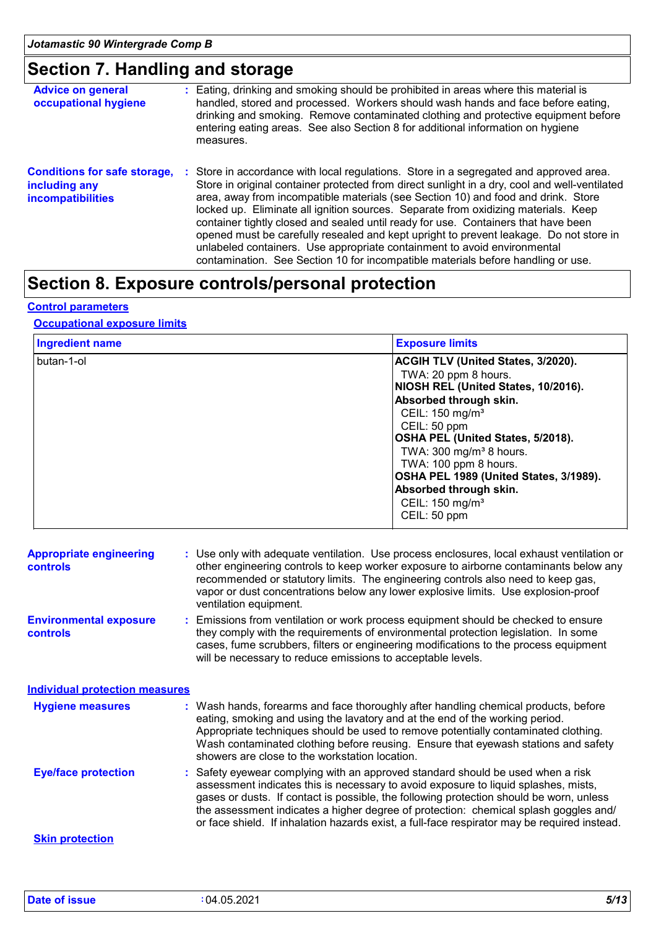### **Section 7. Handling and storage**

| <b>Advice on general</b><br>occupational hygiene                                 | : Eating, drinking and smoking should be prohibited in areas where this material is<br>handled, stored and processed. Workers should wash hands and face before eating,<br>drinking and smoking. Remove contaminated clothing and protective equipment before<br>entering eating areas. See also Section 8 for additional information on hygiene<br>measures.                                                                                                                                                                                                                                                                                                                                                      |
|----------------------------------------------------------------------------------|--------------------------------------------------------------------------------------------------------------------------------------------------------------------------------------------------------------------------------------------------------------------------------------------------------------------------------------------------------------------------------------------------------------------------------------------------------------------------------------------------------------------------------------------------------------------------------------------------------------------------------------------------------------------------------------------------------------------|
| <b>Conditions for safe storage,</b><br>including any<br><b>incompatibilities</b> | : Store in accordance with local regulations. Store in a segregated and approved area.<br>Store in original container protected from direct sunlight in a dry, cool and well-ventilated<br>area, away from incompatible materials (see Section 10) and food and drink. Store<br>locked up. Eliminate all ignition sources. Separate from oxidizing materials. Keep<br>container tightly closed and sealed until ready for use. Containers that have been<br>opened must be carefully resealed and kept upright to prevent leakage. Do not store in<br>unlabeled containers. Use appropriate containment to avoid environmental<br>contamination. See Section 10 for incompatible materials before handling or use. |

### **Section 8. Exposure controls/personal protection**

#### **Control parameters**

#### **Occupational exposure limits**

| <b>Ingredient name</b> | <b>Exposure limits</b>                                                                                                                                                                                                                                                                                                                                                                             |
|------------------------|----------------------------------------------------------------------------------------------------------------------------------------------------------------------------------------------------------------------------------------------------------------------------------------------------------------------------------------------------------------------------------------------------|
| butan-1-ol             | ACGIH TLV (United States, 3/2020).<br>TWA: 20 ppm 8 hours.<br>NIOSH REL (United States, 10/2016).<br>Absorbed through skin.<br>CEIL: 150 mg/m <sup>3</sup><br>CEIL: 50 ppm<br>OSHA PEL (United States, 5/2018).<br>TWA: 300 mg/m <sup>3</sup> 8 hours.<br>TWA: 100 ppm 8 hours.<br>OSHA PEL 1989 (United States, 3/1989).<br>Absorbed through skin.<br>CEIL: 150 mg/m <sup>3</sup><br>CEIL: 50 ppm |

| <b>Appropriate engineering</b><br><b>controls</b> | : Use only with adequate ventilation. Use process enclosures, local exhaust ventilation or<br>other engineering controls to keep worker exposure to airborne contaminants below any<br>recommended or statutory limits. The engineering controls also need to keep gas,<br>vapor or dust concentrations below any lower explosive limits. Use explosion-proof<br>ventilation equipment.                                                                   |
|---------------------------------------------------|-----------------------------------------------------------------------------------------------------------------------------------------------------------------------------------------------------------------------------------------------------------------------------------------------------------------------------------------------------------------------------------------------------------------------------------------------------------|
| <b>Environmental exposure</b><br><b>controls</b>  | : Emissions from ventilation or work process equipment should be checked to ensure<br>they comply with the requirements of environmental protection legislation. In some<br>cases, fume scrubbers, filters or engineering modifications to the process equipment<br>will be necessary to reduce emissions to acceptable levels.                                                                                                                           |
| <b>Individual protection measures</b>             |                                                                                                                                                                                                                                                                                                                                                                                                                                                           |
| <b>Hygiene measures</b>                           | : Wash hands, forearms and face thoroughly after handling chemical products, before<br>eating, smoking and using the lavatory and at the end of the working period.<br>Appropriate techniques should be used to remove potentially contaminated clothing.<br>Wash contaminated clothing before reusing. Ensure that eyewash stations and safety<br>showers are close to the workstation location.                                                         |
| <b>Eye/face protection</b>                        | : Safety eyewear complying with an approved standard should be used when a risk<br>assessment indicates this is necessary to avoid exposure to liquid splashes, mists,<br>gases or dusts. If contact is possible, the following protection should be worn, unless<br>the assessment indicates a higher degree of protection: chemical splash goggles and/<br>or face shield. If inhalation hazards exist, a full-face respirator may be required instead. |
| <b>Skin protection</b>                            |                                                                                                                                                                                                                                                                                                                                                                                                                                                           |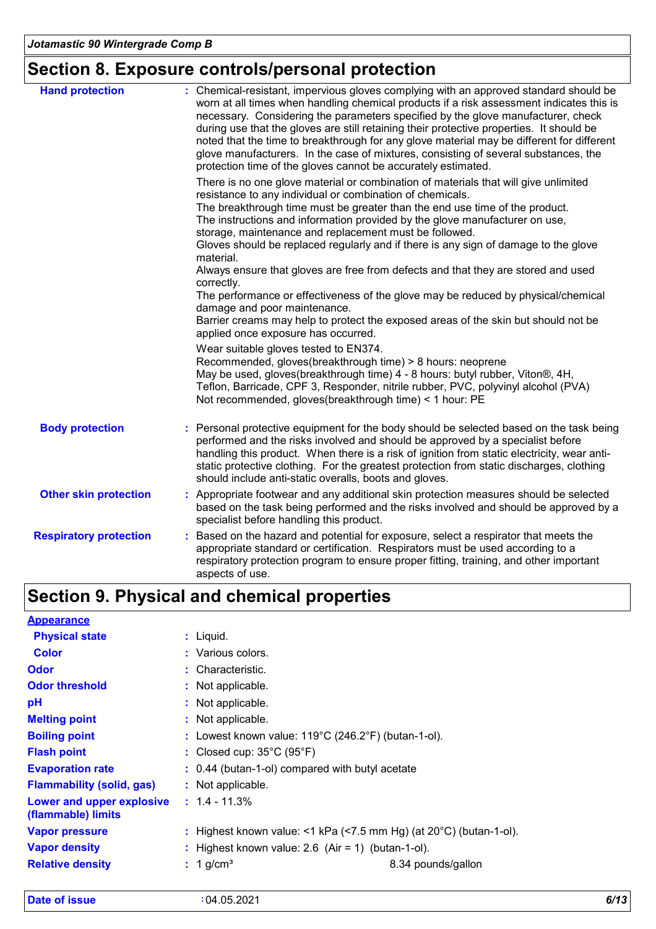# **Section 8. Exposure controls/personal protection**

| <b>Hand protection</b>        | : Chemical-resistant, impervious gloves complying with an approved standard should be<br>worn at all times when handling chemical products if a risk assessment indicates this is<br>necessary. Considering the parameters specified by the glove manufacturer, check<br>during use that the gloves are still retaining their protective properties. It should be<br>noted that the time to breakthrough for any glove material may be different for different<br>glove manufacturers. In the case of mixtures, consisting of several substances, the<br>protection time of the gloves cannot be accurately estimated. |
|-------------------------------|------------------------------------------------------------------------------------------------------------------------------------------------------------------------------------------------------------------------------------------------------------------------------------------------------------------------------------------------------------------------------------------------------------------------------------------------------------------------------------------------------------------------------------------------------------------------------------------------------------------------|
|                               | There is no one glove material or combination of materials that will give unlimited<br>resistance to any individual or combination of chemicals.<br>The breakthrough time must be greater than the end use time of the product.<br>The instructions and information provided by the glove manufacturer on use,<br>storage, maintenance and replacement must be followed.<br>Gloves should be replaced regularly and if there is any sign of damage to the glove<br>material.<br>Always ensure that gloves are free from defects and that they are stored and used                                                      |
|                               | correctly.<br>The performance or effectiveness of the glove may be reduced by physical/chemical<br>damage and poor maintenance.<br>Barrier creams may help to protect the exposed areas of the skin but should not be<br>applied once exposure has occurred.                                                                                                                                                                                                                                                                                                                                                           |
|                               | Wear suitable gloves tested to EN374.<br>Recommended, gloves(breakthrough time) > 8 hours: neoprene<br>May be used, gloves(breakthrough time) 4 - 8 hours: butyl rubber, Viton®, 4H,<br>Teflon, Barricade, CPF 3, Responder, nitrile rubber, PVC, polyvinyl alcohol (PVA)<br>Not recommended, gloves(breakthrough time) < 1 hour: PE                                                                                                                                                                                                                                                                                   |
| <b>Body protection</b>        | : Personal protective equipment for the body should be selected based on the task being<br>performed and the risks involved and should be approved by a specialist before<br>handling this product. When there is a risk of ignition from static electricity, wear anti-<br>static protective clothing. For the greatest protection from static discharges, clothing<br>should include anti-static overalls, boots and gloves.                                                                                                                                                                                         |
| <b>Other skin protection</b>  | : Appropriate footwear and any additional skin protection measures should be selected<br>based on the task being performed and the risks involved and should be approved by a<br>specialist before handling this product.                                                                                                                                                                                                                                                                                                                                                                                              |
| <b>Respiratory protection</b> | : Based on the hazard and potential for exposure, select a respirator that meets the<br>appropriate standard or certification. Respirators must be used according to a<br>respiratory protection program to ensure proper fitting, training, and other important<br>aspects of use.                                                                                                                                                                                                                                                                                                                                    |

# **Section 9. Physical and chemical properties**

| <b>Appearance</b>                               |                                                                              |
|-------------------------------------------------|------------------------------------------------------------------------------|
| <b>Physical state</b>                           | $:$ Liquid.                                                                  |
| <b>Color</b>                                    | : Various colors.                                                            |
| <b>Odor</b>                                     | : Characteristic.                                                            |
| <b>Odor threshold</b>                           | : Not applicable.                                                            |
| рH                                              | : Not applicable.                                                            |
| <b>Melting point</b>                            | : Not applicable.                                                            |
| <b>Boiling point</b>                            | : Lowest known value: $119^{\circ}$ C (246.2°F) (butan-1-ol).                |
| <b>Flash point</b>                              | : Closed cup: $35^{\circ}$ C (95 $^{\circ}$ F)                               |
| <b>Evaporation rate</b>                         | $: 0.44$ (butan-1-ol) compared with butyl acetate                            |
| <b>Flammability (solid, gas)</b>                | : Not applicable.                                                            |
| Lower and upper explosive<br>(flammable) limits | $: 1.4 - 11.3\%$                                                             |
| <b>Vapor pressure</b>                           | : Highest known value: <1 kPa (<7.5 mm Hg) (at $20^{\circ}$ C) (butan-1-ol). |
| <b>Vapor density</b>                            | : Highest known value: $2.6$ (Air = 1) (butan-1-ol).                         |
| <b>Relative density</b>                         | 8.34 pounds/gallon<br>$: 1$ g/cm <sup>3</sup>                                |

**Date of issue :** 04.05.2021 *6/13*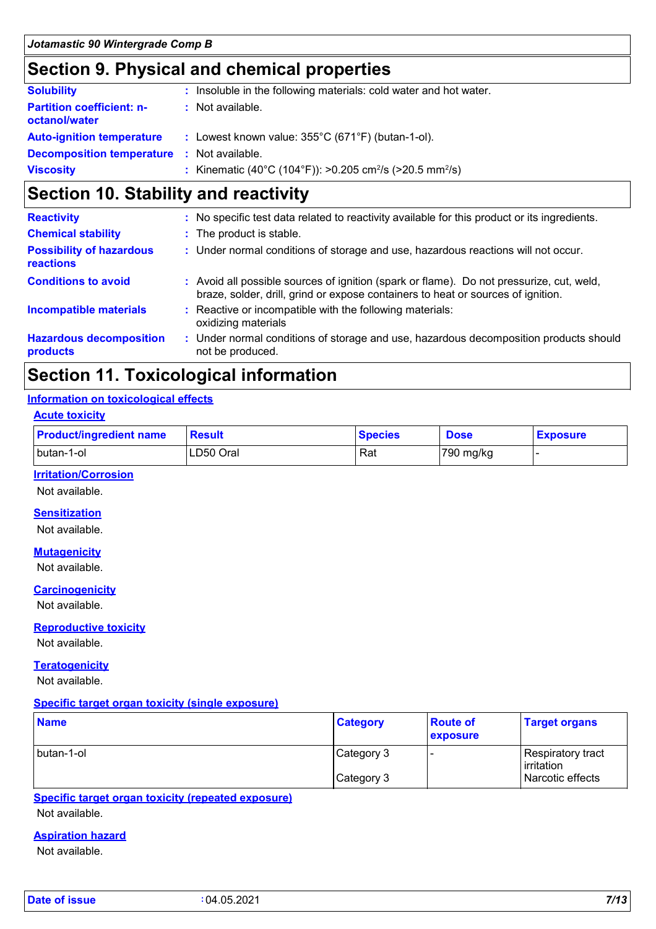### **Section 9. Physical and chemical properties**

| <b>Solubility</b>                                 | : Insoluble in the following materials: cold water and hot water.                |
|---------------------------------------------------|----------------------------------------------------------------------------------|
| <b>Partition coefficient: n-</b><br>octanol/water | : Not available.                                                                 |
| <b>Auto-ignition temperature</b>                  | : Lowest known value: $355^{\circ}$ C (671°F) (butan-1-ol).                      |
| <b>Decomposition temperature</b>                  | : Not available.                                                                 |
| <b>Viscosity</b>                                  | : Kinematic (40°C (104°F)): >0.205 cm <sup>2</sup> /s (>20.5 mm <sup>2</sup> /s) |

### **Section 10. Stability and reactivity**

| <b>Reactivity</b>                                   | No specific test data related to reactivity available for this product or its ingredients.                                                                                   |
|-----------------------------------------------------|------------------------------------------------------------------------------------------------------------------------------------------------------------------------------|
| <b>Chemical stability</b>                           | : The product is stable.                                                                                                                                                     |
| <b>Possibility of hazardous</b><br><b>reactions</b> | : Under normal conditions of storage and use, hazardous reactions will not occur.                                                                                            |
| <b>Conditions to avoid</b>                          | : Avoid all possible sources of ignition (spark or flame). Do not pressurize, cut, weld,<br>braze, solder, drill, grind or expose containers to heat or sources of ignition. |
| <b>Incompatible materials</b>                       | Reactive or incompatible with the following materials:<br>oxidizing materials                                                                                                |
| <b>Hazardous decomposition</b><br>products          | : Under normal conditions of storage and use, hazardous decomposition products should<br>not be produced.                                                                    |

### **Section 11. Toxicological information**

#### **Information on toxicological effects**

| <b>Acute toxicity</b>          |               |                |             |                 |  |  |
|--------------------------------|---------------|----------------|-------------|-----------------|--|--|
| <b>Product/ingredient name</b> | <b>Result</b> | <b>Species</b> | <b>Dose</b> | <b>Exposure</b> |  |  |
| I butan-1-ol                   | ILD50 Oral    | Rat            | $790$ mg/kg |                 |  |  |

#### **Irritation/Corrosion**

Not available.

#### **Sensitization**

Not available.

#### **Mutagenicity**

Not available.

#### **Carcinogenicity**

Not available.

#### **Reproductive toxicity**

Not available.

#### **Teratogenicity**

Not available.

#### **Specific target organ toxicity (single exposure)**

| <b>Name</b> | <b>Category</b> | <b>Route of</b><br>exposure | <b>Target organs</b>               |
|-------------|-----------------|-----------------------------|------------------------------------|
| butan-1-ol  | Category 3      |                             | Respiratory tract_<br>l irritation |
|             | Category 3      |                             | Narcotic effects                   |

#### **Specific target organ toxicity (repeated exposure)**

Not available.

#### **Aspiration hazard**

Not available.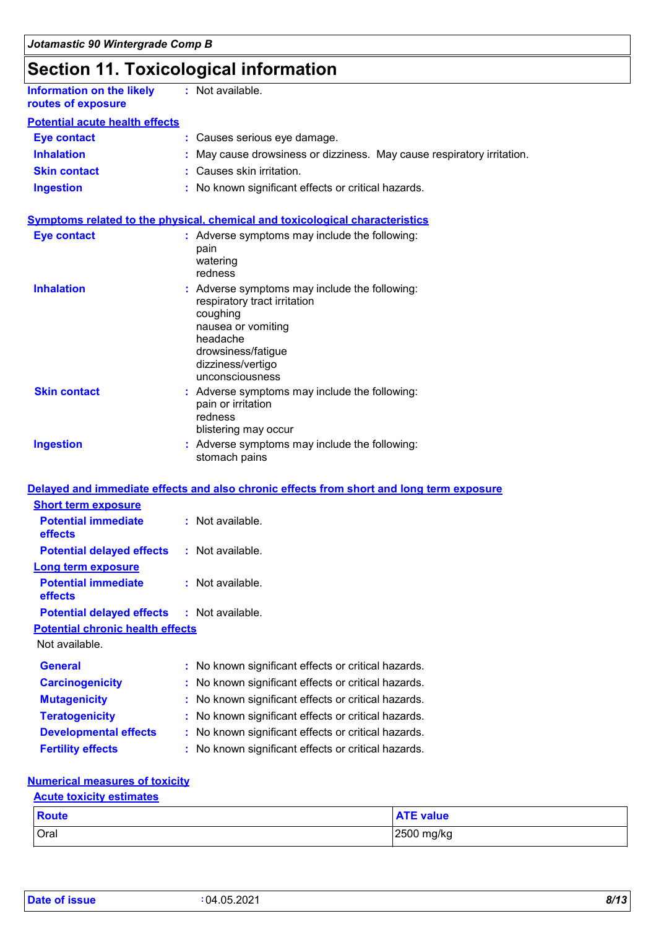# **Section 11. Toxicological information**

| <b>Information on the likely</b><br>routes of exposure | : Not available.                                                       |
|--------------------------------------------------------|------------------------------------------------------------------------|
| <b>Potential acute health effects</b>                  |                                                                        |
| <b>Eye contact</b>                                     | : Causes serious eye damage.                                           |
| <b>Inhalation</b>                                      | : May cause drowsiness or dizziness. May cause respiratory irritation. |
| <b>Skin contact</b>                                    | : Causes skin irritation.                                              |
| <b>Ingestion</b>                                       | : No known significant effects or critical hazards.                    |
|                                                        |                                                                        |

#### **Symptoms related to the physical, chemical and toxicological characteristics**

| <b>Eye contact</b>  | : Adverse symptoms may include the following:<br>pain<br>watering<br>redness                                                                                                              |
|---------------------|-------------------------------------------------------------------------------------------------------------------------------------------------------------------------------------------|
| <b>Inhalation</b>   | : Adverse symptoms may include the following:<br>respiratory tract irritation<br>coughing<br>nausea or vomiting<br>headache<br>drowsiness/fatigue<br>dizziness/vertigo<br>unconsciousness |
| <b>Skin contact</b> | : Adverse symptoms may include the following:<br>pain or irritation<br>redness<br>blistering may occur                                                                                    |
| <b>Ingestion</b>    | : Adverse symptoms may include the following:<br>stomach pains                                                                                                                            |

#### **Delayed and immediate effects and also chronic effects from short and long term exposure**

| <b>Short term exposure</b>              |                    |
|-----------------------------------------|--------------------|
| <b>Potential immediate</b><br>effects   | $:$ Not available. |
| <b>Potential delayed effects</b>        | : Not available.   |
| <b>Long term exposure</b>               |                    |
| <b>Potential immediate</b><br>effects   | $:$ Not available. |
| <b>Potential delayed effects</b>        | : Not available.   |
| <b>Potential chronic health effects</b> |                    |
| Not available.                          |                    |

| <b>General</b>               | : No known significant effects or critical hazards. |
|------------------------------|-----------------------------------------------------|
| <b>Carcinogenicity</b>       | : No known significant effects or critical hazards. |
| <b>Mutagenicity</b>          | : No known significant effects or critical hazards. |
| <b>Teratogenicity</b>        | : No known significant effects or critical hazards. |
| <b>Developmental effects</b> | : No known significant effects or critical hazards. |
| <b>Fertility effects</b>     | : No known significant effects or critical hazards. |

#### **Numerical measures of toxicity**

#### **Acute toxicity estimates**

| <b>Route</b> | <b>ATE value</b> |
|--------------|------------------|
| Oral         | 2500 mg/kg       |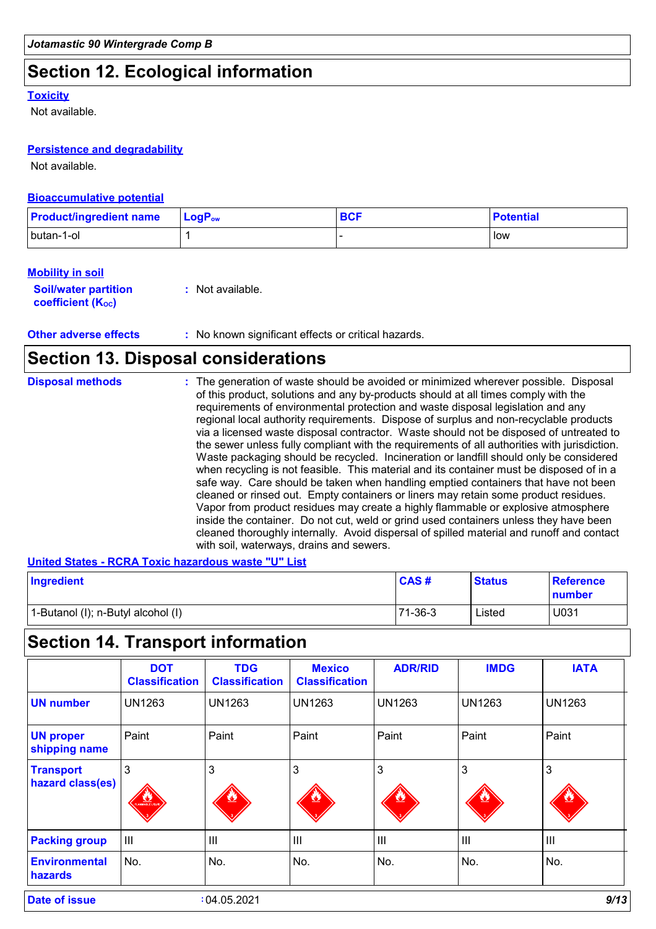### **Section 12. Ecological information**

#### **Toxicity**

Not available.

#### **Persistence and degradability**

Not available.

#### **Bioaccumulative potential**

| <b>Product/ingredient name</b> | $LogP_{ow}$ | <b>BCF</b> | <b>Potential</b> |
|--------------------------------|-------------|------------|------------------|
| butan-1-ol                     |             |            | low              |

#### **Mobility in soil**

| <b>Soil/water partition</b> | : Not available. |
|-----------------------------|------------------|
| <b>coefficient (Koc)</b>    |                  |

**Other adverse effects** : No known significant effects or critical hazards.

### **Section 13. Disposal considerations**

| <b>Disposal methods</b> | : The generation of waste should be avoided or minimized wherever possible. Disposal<br>of this product, solutions and any by-products should at all times comply with the<br>requirements of environmental protection and waste disposal legislation and any<br>regional local authority requirements. Dispose of surplus and non-recyclable products<br>via a licensed waste disposal contractor. Waste should not be disposed of untreated to<br>the sewer unless fully compliant with the requirements of all authorities with jurisdiction.<br>Waste packaging should be recycled. Incineration or landfill should only be considered<br>when recycling is not feasible. This material and its container must be disposed of in a<br>safe way. Care should be taken when handling emptied containers that have not been<br>cleaned or rinsed out. Empty containers or liners may retain some product residues.<br>Vapor from product residues may create a highly flammable or explosive atmosphere<br>inside the container. Do not cut, weld or grind used containers unless they have been<br>cleaned thoroughly internally. Avoid dispersal of spilled material and runoff and contact |
|-------------------------|------------------------------------------------------------------------------------------------------------------------------------------------------------------------------------------------------------------------------------------------------------------------------------------------------------------------------------------------------------------------------------------------------------------------------------------------------------------------------------------------------------------------------------------------------------------------------------------------------------------------------------------------------------------------------------------------------------------------------------------------------------------------------------------------------------------------------------------------------------------------------------------------------------------------------------------------------------------------------------------------------------------------------------------------------------------------------------------------------------------------------------------------------------------------------------------------|
|                         | with soil, waterways, drains and sewers.                                                                                                                                                                                                                                                                                                                                                                                                                                                                                                                                                                                                                                                                                                                                                                                                                                                                                                                                                                                                                                                                                                                                                       |

#### **United States - RCRA Toxic hazardous waste "U" List**

| Ingredient                         | CAS#    | <b>Status</b> | Reference<br>number |
|------------------------------------|---------|---------------|---------------------|
| 1-Butanol (I); n-Butyl alcohol (I) | 71-36-3 | Listed        | U031                |

# **Section 14. Transport information**

| <b>DOT</b><br><b>Classification</b> | <b>TDG</b><br><b>Classification</b> | <b>Mexico</b><br><b>Classification</b> | <b>ADR/RID</b> | <b>IMDG</b>    | <b>IATA</b>    |
|-------------------------------------|-------------------------------------|----------------------------------------|----------------|----------------|----------------|
| <b>UN1263</b>                       | <b>UN1263</b>                       | <b>UN1263</b>                          | <b>UN1263</b>  | <b>UN1263</b>  | <b>UN1263</b>  |
| Paint                               | Paint                               | Paint                                  | Paint          | Paint          | Paint          |
| 3<br>AMMARIE LIQUE                  | 3                                   | 3                                      | 3              | 3              | 3              |
| $\mathbf{III}$                      | III                                 | $\mathbf{III}$                         | $\mathbf{III}$ | $\mathbf{III}$ | $\mathbf{III}$ |
| No.                                 | No.                                 | No.                                    | No.            | No.            | No.            |
|                                     |                                     |                                        |                |                |                |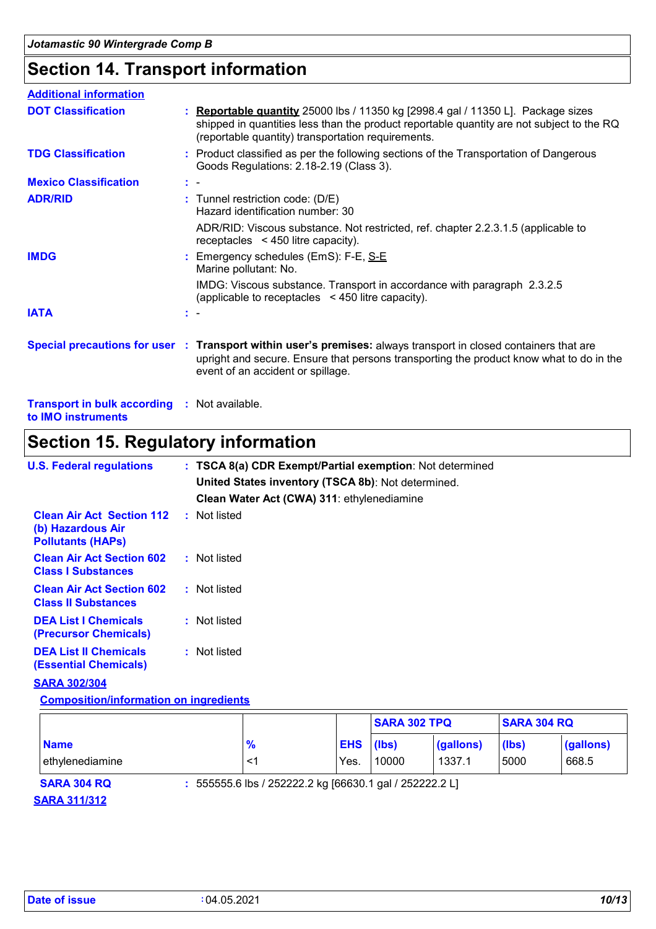### **Section 14. Transport information**

| <b>Additional information</b>                                             |                                                                                                                                                                                                                                                 |
|---------------------------------------------------------------------------|-------------------------------------------------------------------------------------------------------------------------------------------------------------------------------------------------------------------------------------------------|
| <b>DOT Classification</b>                                                 | : Reportable quantity 25000 lbs / 11350 kg [2998.4 gal / 11350 L]. Package sizes<br>shipped in quantities less than the product reportable quantity are not subject to the RQ<br>(reportable quantity) transportation requirements.             |
| <b>TDG Classification</b>                                                 | : Product classified as per the following sections of the Transportation of Dangerous<br>Goods Regulations: 2.18-2.19 (Class 3).                                                                                                                |
| <b>Mexico Classification</b>                                              | $\mathbf{r}$                                                                                                                                                                                                                                    |
| <b>ADR/RID</b>                                                            | : Tunnel restriction code: (D/E)<br>Hazard identification number: 30                                                                                                                                                                            |
|                                                                           | ADR/RID: Viscous substance. Not restricted, ref. chapter 2.2.3.1.5 (applicable to<br>receptacles $\leq$ 450 litre capacity).                                                                                                                    |
| <b>IMDG</b>                                                               | : Emergency schedules (EmS): F-E, S-E<br>Marine pollutant: No.                                                                                                                                                                                  |
|                                                                           | IMDG: Viscous substance. Transport in accordance with paragraph 2.3.2.5<br>(applicable to receptacles $\leq$ 450 litre capacity).                                                                                                               |
| <b>IATA</b>                                                               |                                                                                                                                                                                                                                                 |
|                                                                           | Special precautions for user : Transport within user's premises: always transport in closed containers that are<br>upright and secure. Ensure that persons transporting the product know what to do in the<br>event of an accident or spillage. |
| <b>Transport in bulk according : Not available.</b><br>to IMO instruments |                                                                                                                                                                                                                                                 |

# **Section 15. Regulatory information**

| <b>U.S. Federal regulations</b>                                                   | : TSCA 8(a) CDR Exempt/Partial exemption: Not determined<br>United States inventory (TSCA 8b): Not determined.<br>Clean Water Act (CWA) 311: ethylenediamine |  |
|-----------------------------------------------------------------------------------|--------------------------------------------------------------------------------------------------------------------------------------------------------------|--|
| <b>Clean Air Act Section 112</b><br>(b) Hazardous Air<br><b>Pollutants (HAPS)</b> | : Not listed                                                                                                                                                 |  |
| <b>Clean Air Act Section 602</b><br><b>Class I Substances</b>                     | : Not listed                                                                                                                                                 |  |
| <b>Clean Air Act Section 602</b><br><b>Class II Substances</b>                    | : Not listed                                                                                                                                                 |  |
| <b>DEA List I Chemicals</b><br>(Precursor Chemicals)                              | : Not listed                                                                                                                                                 |  |
| <b>DEA List II Chemicals</b><br><b>(Essential Chemicals)</b>                      | : Not listed                                                                                                                                                 |  |

#### **SARA 302/304**

**Composition/information on ingredients**

|                                |                                                         |                          | <b>SARA 302 TPQ</b><br><b>SARA 304 RQ</b> |                     |               |                    |
|--------------------------------|---------------------------------------------------------|--------------------------|-------------------------------------------|---------------------|---------------|--------------------|
| <b>Name</b><br>ethylenediamine | $\frac{9}{6}$                                           | <b>EHS</b> (lbs)<br>Yes. | 10000                                     | (gallons)<br>1337.1 | (lbs)<br>5000 | (gallons)<br>668.5 |
| <b>SARA 304 RQ</b>             | : 555555.6 lbs / 252222.2 kg [66630.1 gal / 252222.2 L] |                          |                                           |                     |               |                    |

**SARA 311/312**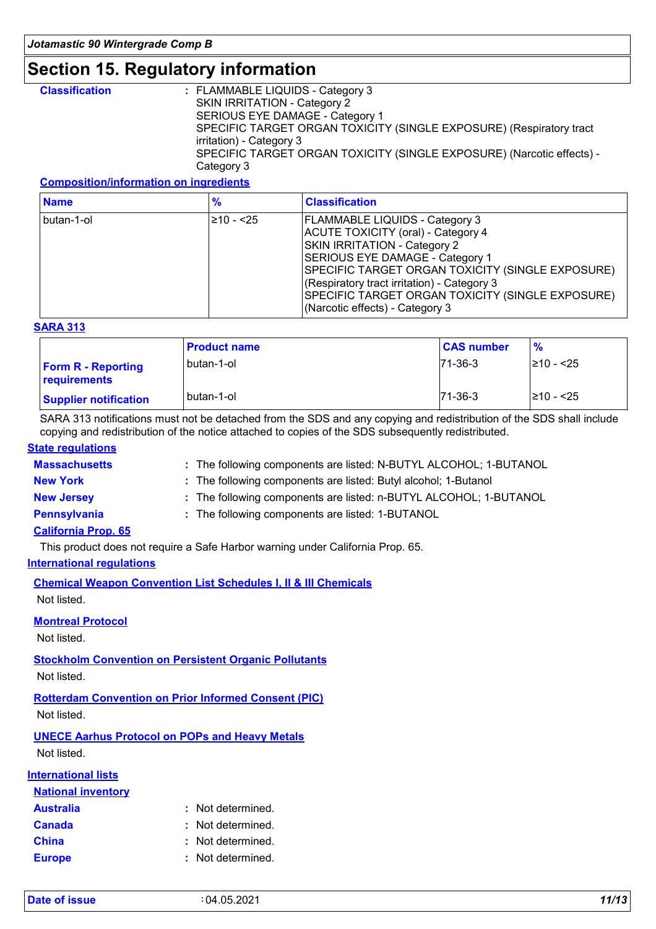### **Section 15. Regulatory information**

| <b>Classification</b> | $\therefore$ FLAMMABLE LIQUIDS - Category 3                           |
|-----------------------|-----------------------------------------------------------------------|
|                       | SKIN IRRITATION - Category 2                                          |
|                       | SERIOUS EYE DAMAGE - Category 1                                       |
|                       | SPECIFIC TARGET ORGAN TOXICITY (SINGLE EXPOSURE) (Respiratory tract   |
|                       | irritation) - Category 3                                              |
|                       | SPECIFIC TARGET ORGAN TOXICITY (SINGLE EXPOSURE) (Narcotic effects) - |
|                       | Category 3                                                            |
|                       |                                                                       |

#### **Composition/information on ingredients**

| <b>Name</b>  | $\%$           | <b>Classification</b>                                                                                                                                                                                                                                                                                                                    |
|--------------|----------------|------------------------------------------------------------------------------------------------------------------------------------------------------------------------------------------------------------------------------------------------------------------------------------------------------------------------------------------|
| l butan-1-ol | $\geq 10 - 25$ | <b>FLAMMABLE LIQUIDS - Category 3</b><br>ACUTE TOXICITY (oral) - Category 4<br>SKIN IRRITATION - Category 2<br>SERIOUS EYE DAMAGE - Category 1<br>SPECIFIC TARGET ORGAN TOXICITY (SINGLE EXPOSURE)<br>(Respiratory tract irritation) - Category 3<br>SPECIFIC TARGET ORGAN TOXICITY (SINGLE EXPOSURE)<br>(Narcotic effects) - Category 3 |

#### **SARA 313**

|                                           | <b>Product name</b> | <b>CAS number</b> | $\frac{9}{6}$  |
|-------------------------------------------|---------------------|-------------------|----------------|
| <b>Form R - Reporting</b><br>requirements | l butan-1-ol        | $171 - 36 - 3$    | $\geq 10 - 25$ |
| <b>Supplier notification</b>              | l butan-1-ol        | $71-36-3$         | $\geq 10 - 25$ |

SARA 313 notifications must not be detached from the SDS and any copying and redistribution of the SDS shall include copying and redistribution of the notice attached to copies of the SDS subsequently redistributed.

#### **State regulations**

| <b>Massachusetts</b>       | : The following components are listed: N-BUTYL ALCOHOL; 1-BUTANOL |
|----------------------------|-------------------------------------------------------------------|
| <b>New York</b>            | : The following components are listed: Butyl alcohol; 1-Butanol   |
| <b>New Jersey</b>          | : The following components are listed: n-BUTYL ALCOHOL; 1-BUTANOL |
| Pennsylvania               | : The following components are listed: 1-BUTANOL                  |
| <b>California Prop. 65</b> |                                                                   |

This product does not require a Safe Harbor warning under California Prop. 65.

#### **International regulations**

**Chemical Weapon Convention List Schedules I, II & III Chemicals**

Not listed.

#### **Montreal Protocol**

Not listed.

**Stockholm Convention on Persistent Organic Pollutants**

Not listed.

**Rotterdam Convention on Prior Informed Consent (PIC)**

Not listed.

**UNECE Aarhus Protocol on POPs and Heavy Metals** Not listed.

**International lists**

| nternational lists        |                   |
|---------------------------|-------------------|
| <b>National inventory</b> |                   |
| <b>Australia</b>          | : Not determined. |
| <b>Canada</b>             | : Not determined. |
| <b>China</b>              | : Not determined. |
| <b>Europe</b>             | : Not determined. |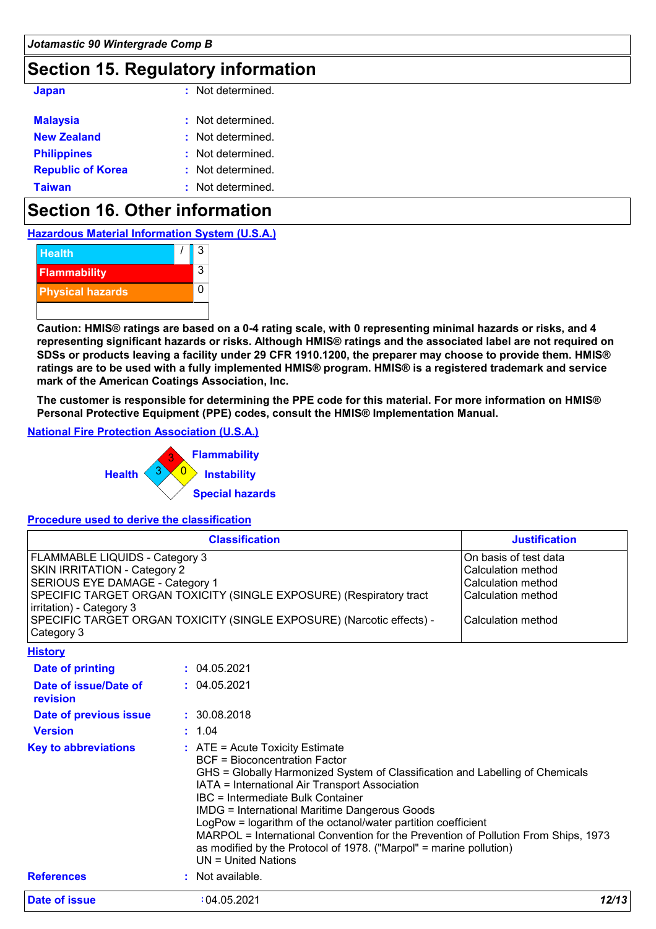### **Section 15. Regulatory information**

| <b>Japan</b>             | : Not determined. |
|--------------------------|-------------------|
| <b>Malaysia</b>          | : Not determined. |
| <b>New Zealand</b>       | : Not determined. |
| <b>Philippines</b>       | : Not determined. |
| <b>Republic of Korea</b> | : Not determined. |
| <b>Taiwan</b>            | : Not determined. |

### **Section 16. Other information**

**Hazardous Material Information System (U.S.A.)**



**Caution: HMIS® ratings are based on a 0-4 rating scale, with 0 representing minimal hazards or risks, and 4 representing significant hazards or risks. Although HMIS® ratings and the associated label are not required on SDSs or products leaving a facility under 29 CFR 1910.1200, the preparer may choose to provide them. HMIS® ratings are to be used with a fully implemented HMIS® program. HMIS® is a registered trademark and service mark of the American Coatings Association, Inc.**

**The customer is responsible for determining the PPE code for this material. For more information on HMIS® Personal Protective Equipment (PPE) codes, consult the HMIS® Implementation Manual.**

#### **National Fire Protection Association (U.S.A.)**



#### **Procedure used to derive the classification**

| <b>Classification</b>                                                                                                                                                                                                                                                                        | <b>Justification</b>                                                                                              |
|----------------------------------------------------------------------------------------------------------------------------------------------------------------------------------------------------------------------------------------------------------------------------------------------|-------------------------------------------------------------------------------------------------------------------|
| <b>FLAMMABLE LIQUIDS - Category 3</b><br><b>SKIN IRRITATION - Category 2</b><br>SERIOUS EYE DAMAGE - Category 1<br>SPECIFIC TARGET ORGAN TOXICITY (SINGLE EXPOSURE) (Respiratory tract<br>lirritation) - Category 3<br>SPECIFIC TARGET ORGAN TOXICITY (SINGLE EXPOSURE) (Narcotic effects) - | On basis of test data<br>lCalculation method<br>lCalculation method<br>lCalculation method<br>lCalculation method |
| Category 3<br><b>History</b>                                                                                                                                                                                                                                                                 |                                                                                                                   |

| Date of issue                     | :04.05.2021<br>12/13                                                                                                                                                                                                                                                                                                                                                                                                                                                                              |
|-----------------------------------|---------------------------------------------------------------------------------------------------------------------------------------------------------------------------------------------------------------------------------------------------------------------------------------------------------------------------------------------------------------------------------------------------------------------------------------------------------------------------------------------------|
| <b>References</b>                 | UN = United Nations<br>: Not available.                                                                                                                                                                                                                                                                                                                                                                                                                                                           |
|                                   | <b>BCF</b> = Bioconcentration Factor<br>GHS = Globally Harmonized System of Classification and Labelling of Chemicals<br>IATA = International Air Transport Association<br>IBC = Intermediate Bulk Container<br><b>IMDG = International Maritime Dangerous Goods</b><br>LogPow = logarithm of the octanol/water partition coefficient<br>MARPOL = International Convention for the Prevention of Pollution From Ships, 1973<br>as modified by the Protocol of 1978. ("Marpol" = marine pollution) |
| <b>Key to abbreviations</b>       | $\therefore$ ATE = Acute Toxicity Estimate                                                                                                                                                                                                                                                                                                                                                                                                                                                        |
| <b>Version</b>                    | : 1.04                                                                                                                                                                                                                                                                                                                                                                                                                                                                                            |
| Date of previous issue            | : 30.08.2018                                                                                                                                                                                                                                                                                                                                                                                                                                                                                      |
| Date of issue/Date of<br>revision | : 04.05.2021                                                                                                                                                                                                                                                                                                                                                                                                                                                                                      |
| Date of printing                  | : 04.05.2021                                                                                                                                                                                                                                                                                                                                                                                                                                                                                      |
| _________                         |                                                                                                                                                                                                                                                                                                                                                                                                                                                                                                   |